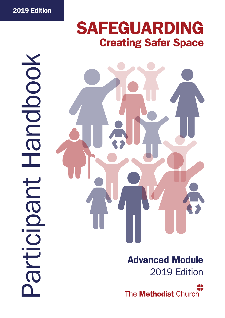# **SAFEGUARDING Creating Safer Space**

# OOOOO E **URGIOIDE**



Advanced Module 2019 Edition

The **Methodist** Church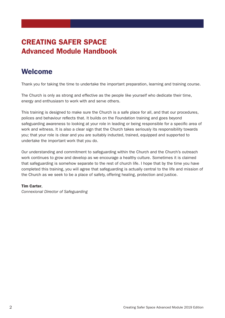# CREATING SAFER SPACE Advanced Module Handbook

# Welcome

Thank you for taking the time to undertake the important preparation, learning and training course.

The Church is only as strong and effective as the people like yourself who dedicate their time, energy and enthusiasm to work with and serve others.

This training is designed to make sure the Church is a safe place for all, and that our procedures, polices and behaviour reflects that. It builds on the Foundation training and goes beyond safeguarding awareness to looking at your role in leading or being responsible for a specific area of work and witness. It is also a clear sign that the Church takes seriously its responsibility towards you; that your role is clear and you are suitably inducted, trained, equipped and supported to undertake the important work that you do.

Our understanding and commitment to safeguarding within the Church and the Church's outreach work continues to grow and develop as we encourage a healthy culture. Sometimes it is claimed that safeguarding is somehow separate to the rest of church life. I hope that by the time you have completed this training, you will agree that safeguarding is actually central to the life and mission of the Church as we seek to be a place of safety, offering healing, protection and justice.

# Tim Carter,

*Connexional Director of Safeguarding*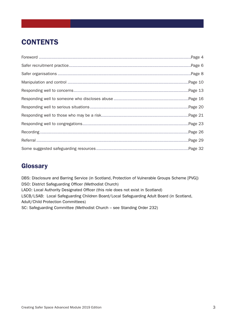# **CONTENTS**

# **Glossary**

DBS: Disclosure and Barring Service (in Scotland, Protection of Vulnerable Groups Scheme [PVG]) DSO: District Safeguarding Officer (Methodist Church) LADO: Local Authority Designated Officer (this role does not exist in Scotland) LSCB/LSAB: Local Safeguarding Children Board/Local Safeguarding Adult Board (in Scotland, Adult/Child Protection Committees) SC: Safeguarding Committee (Methodist Church – see Standing Order 232)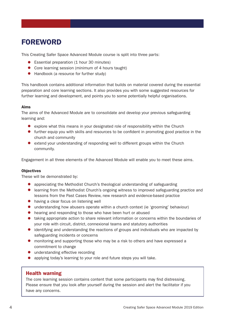# FOREWORD

This Creating Safer Space Advanced Module course is split into three parts:

- Essential preparation (1 hour 30 minutes)
- Core learning session (minimum of 4 hours taught)
- Handbook (a resource for further study)

This handbook contains additional information that builds on material covered during the essential preparation and core learning sections. It also provides you with some suggested resources for further learning and development, and points you to some potentially helpful organisations.

# Aims

The aims of the Advanced Module are to consolidate and develop your previous safeguarding learning and:

- explore what this means in your designated role of responsibility within the Church
- further equip you with skills and resources to be confident in promoting good practice in the church and community
- extend your understanding of responding well to different groups within the Church community.

Engagement in all three elements of the Advanced Module will enable you to meet these aims.

# **Objectives**

These will be demonstrated by:

- appreciating the Methodist Church's theological understanding of safeguarding
- learning from the Methodist Church's ongoing witness to improved safeguarding practice and lessons from the Past Cases Review, new research and evidence-based practice
- having a clear focus on listening well
- understanding how abusers operate within a church context (ie 'grooming' behaviour)
- hearing and responding to those who have been hurt or abused
- taking appropriate action to share relevant information or concerns within the boundaries of your role with circuit, district, connexional teams and statutory authorities
- identifying and understanding the reactions of groups and individuals who are impacted by safeguarding incidents or concerns
- monitoring and supporting those who may be a risk to others and have expressed a commitment to change
- understanding effective recording
- applying today's learning to your role and future steps you will take.

# Health warning

The core learning session contains content that some participants may find distressing. Please ensure that you look after yourself during the session and alert the facilitator if you have any concerns.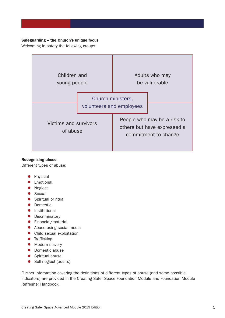# Safeguarding – the Church's unique focus

Welcoming in safety the following groups:



# Recognising abuse

Different types of abuse:

- Physical
- Emotional
- Neglect
- Sexual
- Spiritual or ritual
- Domestic
- Institutional
- Discriminatory
- Financial/material
- Abuse using social media
- Child sexual exploitation
- Trafficking
- Modern slavery
- Domestic abuse
- Spiritual abuse
- Self-neglect (adults)

Further information covering the definitions of different types of abuse (and some possible indicators) are provided in the Creating Safer Space Foundation Module and Foundation Module Refresher Handbook.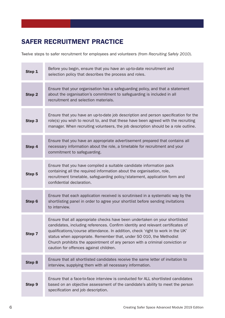# SAFER RECRUITMENT PRACTICE

Twelve steps to safer recruitment for employees and volunteers (from *Recruiting Safely 2010*).

| Step 1 | Before you begin, ensure that you have an up-to-date recruitment and<br>selection policy that describes the process and roles.                                                                                                                                                                                                                                                                                                                    |
|--------|---------------------------------------------------------------------------------------------------------------------------------------------------------------------------------------------------------------------------------------------------------------------------------------------------------------------------------------------------------------------------------------------------------------------------------------------------|
| Step 2 | Ensure that your organisation has a safeguarding policy, and that a statement<br>about the organisation's commitment to safeguarding is included in all<br>recruitment and selection materials.                                                                                                                                                                                                                                                   |
| Step 3 | Ensure that you have an up-to-date job description and person specification for the<br>role(s) you wish to recruit to, and that these have been agreed with the recruiting<br>manager. When recruiting volunteers, the job description should be a role outline.                                                                                                                                                                                  |
| Step 4 | Ensure that you have an appropriate advertisement prepared that contains all<br>necessary information about the role, a timetable for recruitment and your<br>commitment to safeguarding.                                                                                                                                                                                                                                                         |
| Step 5 | Ensure that you have compiled a suitable candidate information pack<br>containing all the required information about the organisation, role,<br>recruitment timetable, safeguarding policy/statement, application form and<br>confidential declaration.                                                                                                                                                                                           |
| Step 6 | Ensure that each application received is scrutinised in a systematic way by the<br>shortlisting panel in order to agree your shortlist before sending invitations<br>to interview.                                                                                                                                                                                                                                                                |
| Step 7 | Ensure that all appropriate checks have been undertaken on your shortlisted<br>candidates, including references. Confirm identity and relevant certificates of<br>qualifications/course attendance. In addition, check 'right to work in the UK'<br>status when appropriate. Remember that, under SO 010, the Methodist<br>Church prohibits the appointment of any person with a criminal conviction or<br>caution for offences against children. |
| Step 8 | Ensure that all shortlisted candidates receive the same letter of invitation to<br>interview, supplying them with all necessary information.                                                                                                                                                                                                                                                                                                      |
| Step 9 | Ensure that a face-to-face interview is conducted for ALL shortlisted candidates<br>based on an objective assessment of the candidate's ability to meet the person<br>specification and job description.                                                                                                                                                                                                                                          |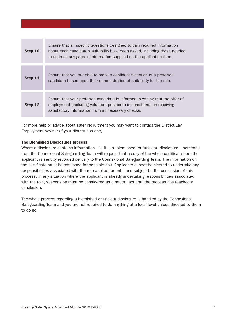| Step 10 | Ensure that all specific questions designed to gain required information<br>about each candidate's suitability have been asked, including those needed<br>to address any gaps in information supplied on the application form. |
|---------|--------------------------------------------------------------------------------------------------------------------------------------------------------------------------------------------------------------------------------|
| Step 11 | Ensure that you are able to make a confident selection of a preferred<br>candidate based upon their demonstration of suitability for the role.                                                                                 |
| Step 12 | Ensure that your preferred candidate is informed in writing that the offer of<br>employment (including volunteer positions) is conditional on receiving<br>satisfactory information from all necessary checks.                 |

For more help or advice about safer recruitment you may want to contact the District Lay Employment Advisor (if your district has one).

# The Blemished Disclosures process

Where a disclosure contains information – ie it is a 'blemished' or 'unclear' disclosure – someone from the Connexional Safeguarding Team will request that a copy of the whole certificate from the applicant is sent by recorded delivery to the Connexional Safeguarding Team. The information on the certificate must be assessed for possible risk. Applicants cannot be cleared to undertake any responsibilities associated with the role applied for until, and subject to, the conclusion of this process. In any situation where the applicant is already undertaking responsibilities associated with the role, suspension must be considered as a neutral act until the process has reached a conclusion.

The whole process regarding a blemished or unclear disclosure is handled by the Connexional Safeguarding Team and you are not required to do anything at a local level unless directed by them to do so.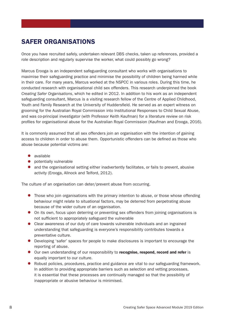# SAFER ORGANISATIONS

Once you have recruited safely, undertaken relevant DBS checks, taken up references, provided a role description and regularly supervise the worker, what could possibly go wrong?

Marcus Erooga is an independent safeguarding consultant who works with organisations to maximise their safeguarding practice and minimise the possibility of children being harmed while in their care. For many years, Marcus worked at the NSPCC in various roles. During this time, he conducted research with organisational child sex offenders. This research underpinned the book *Creating Safer Organisations*, which he edited in 2012. In addition to his work as an independent safeguarding consultant, Marcus is a visiting research fellow of the Centre of Applied Childhood, Youth and Family Research at the University of Huddersfield. He served as an expert witness on grooming for the Australian Royal Commission into Institutional Responses to Child Sexual Abuse, and was co-principal investigator (with Professor Keith Kaufman) for a literature review on risk profiles for organisational abuse for the Australian Royal Commission (Kaufman and Erooga, 2016).

It is commonly assumed that all sex offenders join an organisation with the intention of gaining access to children in order to abuse them. Opportunistic offenders can be defined as those who abuse because potential victims are:

- available
- potentially vulnerable
- and the organisational setting either inadvertently facilitates, or fails to prevent, abusive activity (Erooga, Allnock and Telford, 2012).

The culture of an organisation can deter/prevent abuse from occurring.

- Those who join organisations with the primary intention to abuse, or those whose offending behaviour might relate to situational factors, may be deterred from perpetrating abuse because of the wider culture of an organisation.
- On its own, focus upon deterring or preventing sex offenders from joining organisations is not sufficient to appropriately safeguard the vulnerable
- Clear awareness of our duty of care towards vulnerable individuals and an ingrained understanding that safeguarding is everyone's responsibility contributes towards a preventative culture.
- Developing 'safer' spaces for people to make disclosures is important to encourage the reporting of abuse.
- Our own understanding of our responsibility to recognise, respond, record and refer is equally important to our culture.
- Robust policies, procedures, practice and guidance are vital to our safeguarding framework. In addition to providing appropriate barriers such as selection and vetting processes, it is essential that these processes are continually managed so that the possibility of inappropriate or abusive behaviour is minimised.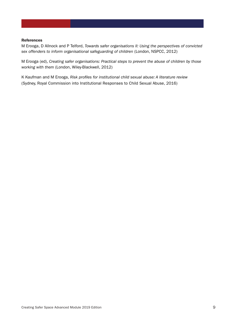# References

M Erooga, D Allnock and P Telford, *Towards safer organisations II: Using the perspectives of convicted sex offenders to inform organisational safeguarding of children* (London, NSPCC, 2012)

M Erooga (ed), *Creating safer organisations: Practical steps to prevent the abuse of children by those working with them* (London, Wiley-Blackwell, 2012)

K Kaufman and M Erooga, *Risk profiles for institutional child sexual abuse: A literature review* (Sydney, Royal Commission into Institutional Responses to Child Sexual Abuse, 2016)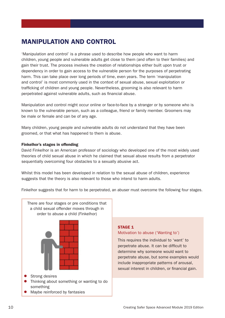# MANIPULATION AND CONTROL

'Manipulation and control' is a phrase used to describe how people who want to harm children, young people and vulnerable adults get close to them (and often to their families) and gain their trust. The process involves the creation of relationships either built upon trust or dependency in order to gain access to the vulnerable person for the purposes of perpetrating harm. This can take place over long periods of time, even years. The term 'manipulation and control' is most commonly used in the context of sexual abuse, sexual exploitation or trafficking of children and young people. Nevertheless, grooming is also relevant to harm perpetrated against vulnerable adults, such as financial abuse.

Manipulation and control might occur online or face-to-face by a stranger or by someone who is known to the vulnerable person, such as a colleague, friend or family member. Groomers may be male or female and can be of any age.

Many children, young people and vulnerable adults do not understand that they have been groomed, or that what has happened to them is abuse.

# Finkelhor's stages in offending

David Finkelhor is an American professor of sociology who developed one of the most widely used theories of child sexual abuse in which he claimed that sexual abuse results from a perpetrator sequentially overcoming four obstacles to a sexually abusive act.

Whilst this model has been developed in relation to the sexual abuse of children, experience suggests that the theory is also relevant to those who intend to harm adults.

Finkelhor suggests that for harm to be perpetrated, an abuser must overcome the following four stages.



# STAGE 1

# Motivation to abuse ('Wanting to')

This requires the individual to 'want' to perpetrate abuse. It can be difficult to determine why someone would want to perpetrate abuse, but some examples would include inappropriate patterns of arousal, sexual interest in children, or financial gain.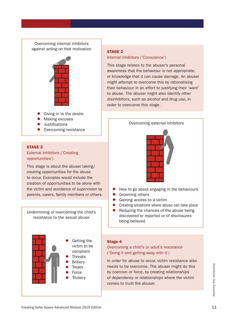# Overcoming internal inhibitors against acting on that motivation



Overcoming resistance

# STAGE 3

# External inhibitors ('Creating opportunities')

This stage is about the abuser taking/ creating opportunities for the abuse to occur. Examples would include the creation of opportunities to be alone with the victim and avoidance of supervision by parents, carers, family members or others.

Undermining or overcoming the child's resistance to the sexual abuse



# STAGE 2

# Internal inhibitors ('Conscience')

This stage relates to the abuser's personal awareness that the behaviour is not appropriate, or knowledge that it can cause damage. An abuser might attempt to overcome this by rationalising their behaviour in an effort to justifying their 'want' to abuse. The abuser might also identify other disinhibitors, such as alcohol and drug use, in order to overcome this stage.



- How to go about engaging in the behaviours
- Grooming others
- Gaining access to a victim
- Creating situations where abuse can take place
- Reducing the chances of the abuse being discovered or reported or of disclosures being believed

# Stage 4

# Overcoming a child's or adult's resistance ('Doing it and getting away with it')

In order for abuse to occur, victim resistance also needs to be overcome. The abuser might do this by coercion or force, by creating relationships of dependency or relationships where the victim comes to trust the abuser.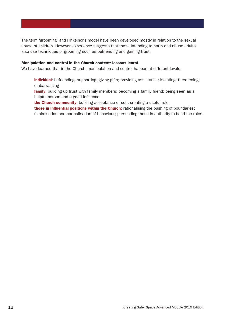The term 'grooming' and Finkelhor's model have been developed mostly in relation to the sexual abuse of children. However, experience suggests that those intending to harm and abuse adults also use techniques of grooming such as befriending and gaining trust.

### Manipulation and control in the Church context: lessons learnt

We have learned that in the Church, manipulation and control happen at different levels:

individual: befriending; supporting; giving gifts; providing assistance; isolating; threatening; embarrassing

**family**: building up trust with family members; becoming a family friend; being seen as a helpful person and a good influence

the Church community: building acceptance of self; creating a useful role those in influential positions within the Church: rationalising the pushing of boundaries; minimisation and normalisation of behaviour; persuading those in authority to bend the rules.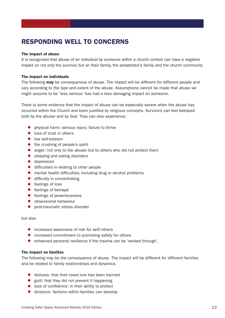# RESPONDING WELL TO CONCERNS

# The impact of abuse

It is recognised that abuse of an individual by someone within a church context can have a negative impact on not only the survivor, but on their family, the perpetrator's family and the church community.

# The impact on individuals

The following **may** be consequences of abuse. The impact will be different for different people and vary according to the type and extent of the abuse. Assumptions cannot be made that abuse we might assume to be 'less serious' has had a less damaging impact on someone.

There is some evidence that the impact of abuse can be especially severe when the abuse has occurred within the Church and been justified by religious concepts. Survivors can feel betrayed both by the abuser and by God. They can also experience:

- physical harm; serious injury; failure to thrive
- loss of trust in others
- low self-esteem
- the crushing of people's spirit
- anger: not only to the abuser but to others who did not protect them
- sleeping and eating disorders
- depression
- difficulties in relating to other people
- mental health difficulties, including drug or alcohol problems
- difficulty in concentrating
- feelings of loss
- feelings of betrayal
- feelings of powerlessness
- obsessional behaviour
- post-traumatic stress disorder

but also

- increased awareness of risk for self/others
- increased commitment to promoting safety for others
- enhanced personal resilience if the trauma can be 'worked through'.

# The impact on families

The following may be the consequence of abuse. The impact will be different for different families and be related to family relationships and dynamics.

- distress: that their loved one has been harmed
- guilt: that they did not prevent it happening
- loss of confidence: in their ability to protect
- divisions: factions within families can develop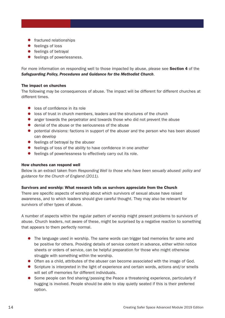- fractured relationships
- feelings of loss
- feelings of betrayal
- feelings of powerlessness.

For more information on responding well to those impacted by abuse, please see **Section 4** of the *Safeguarding Policy, Procedures and Guidance for the Methodist Church*.

# The impact on churches

The following may be consequences of abuse. The impact will be different for different churches at different times.

- loss of confidence in its role
- loss of trust in church members, leaders and the structures of the church
- anger towards the perpetrator and towards those who did not prevent the abuse
- denial of the abuse or the seriousness of the abuse
- potential divisions: factions in support of the abuser and the person who has been abused can develop
- feelings of betrayal by the abuser
- feelings of loss of the ability to have confidence in one another
- feelings of powerlessness to effectively carry out its role.

# How churches can respond well

Below is an extract taken from *Responding Well to those who have been sexually abused: policy and guidance for the Church of England (2011).*

# Survivors and worship: What research tells us survivors appreciate from the Church

There are specific aspects of worship about which survivors of sexual abuse have raised awareness, and to which leaders should give careful thought. They may also be relevant for survivors of other types of abuse.

A number of aspects within the regular pattern of worship might present problems to survivors of abuse. Church leaders, not aware of these, might be surprised by a negative reaction to something that appears to them perfectly normal.

- The language used in worship. The same words can trigger bad memories for some and be positive for others. Providing details of service content in advance, either within notice sheets or orders of service, can be helpful preparation for those who might otherwise struggle with something within the worship.
- Often as a child, attributes of the abuser can become associated with the image of God.
- Scripture is interpreted in the light of experience and certain words, actions and/or smells will set off memories for different individuals.
- Some people can find sharing/passing the Peace a threatening experience, particularly if hugging is involved. People should be able to stay quietly seated if this is their preferred option.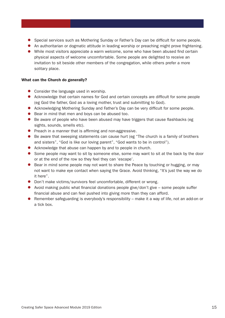- Special services such as Mothering Sunday or Father's Day can be difficult for some people.
- An authoritarian or dogmatic attitude in leading worship or preaching might prove frightening.
- While most visitors appreciate a warm welcome, some who have been abused find certain physical aspects of welcome uncomfortable. Some people are delighted to receive an invitation to sit beside other members of the congregation, while others prefer a more solitary place.

# What can the Church do generally?

- Consider the language used in worship.
- Acknowledge that certain names for God and certain concepts are difficult for some people (eg God the father, God as a loving mother, trust and submitting to God).
- Acknowledging Mothering Sunday and Father's Day can be very difficult for some people.
- Bear in mind that men and boys can be abused too.
- Be aware of people who have been abused may have triggers that cause flashbacks (eg sights, sounds, smells etc).
- Preach in a manner that is affirming and non-aggressive.
- Be aware that sweeping statements can cause hurt (eg "The church is a family of brothers and sisters", "God is like our loving parent", "God wants to be in control").
- Acknowledge that abuse can happen by and to people in church.
- Some people may want to sit by someone else, some may want to sit at the back by the door or at the end of the row so they feel they can 'escape'.
- Bear in mind some people may not want to share the Peace by touching or hugging, or may not want to make eye contact when saying the Grace. Avoid thinking, "It's just the way we do it here".
- Don't make victims/survivors feel uncomfortable, different or wrong.
- $\bullet$  Avoid making public what financial donations people give/don't give some people suffer financial abuse and can feel pushed into giving more than they can afford.
- Remember safeguarding is everybody's responsibility make it a way of life, not an add-on or a tick box.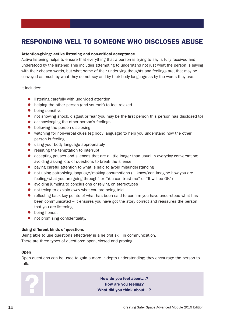# RESPONDING WELL TO SOMEONE WHO DISCLOSES ABUSE

# Attention-giving: active listening and non-critical acceptance

Active listening helps to ensure that everything that a person is trying to say is fully received and understood by the listener. This includes attempting to understand not just what the person is saying with their chosen words, but what some of their underlying thoughts and feelings are, that may be conveyed as much by what they do not say and by their body language as by the words they use.

It includes:

- listening carefully with undivided attention
- helping the other person (and yourself) to feel relaxed
- being sensitive
- not showing shock, disgust or fear (you may be the first person this person has disclosed to)
- acknowledging the other person's feelings
- believing the person disclosing
- watching for non-verbal clues (eg body language) to help you understand how the other person is feeling
- using your body language appropriately
- resisting the temptation to interrupt
- accepting pauses and silences that are a little longer than usual in everyday conversation; avoiding asking lots of questions to break the silence
- paying careful attention to what is said to avoid misunderstanding
- not using patronising language/making assumptions ("I know/can imagine how you are feeling/what you are going through" or "You can trust me" or "It will be OK")
- avoiding jumping to conclusions or relying on stereotypes
- not trying to explain away what you are being told
- reflecting back key points of what has been said to confirm you have understood what has been communicated – it ensures you have got the story correct and reassures the person that you are listening
- being honest
- not promising confidentiality.

# Using different kinds of questions

Being able to use questions effectively is a helpful skill in communication. There are three types of questions: open, closed and probing.

# **Open**

Open questions can be used to gain a more in-depth understanding; they encourage the person to talk.

**Example 20 How do you feel about...?**<br>How are you feeling?<br>What did you think about... How are you feeling? What did you think about…?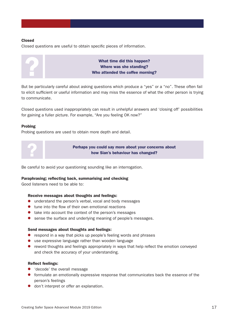# Closed

Closed questions are useful to obtain specific pieces of information.



What time did this happen?<br>Where was she standing?<br>Who attended the coffee morni Where was she standing? Who attended the coffee morning?

But be particularly careful about asking questions which produce a "yes" or a "no". These often fail to elicit sufficient or useful information and may miss the essence of what the other person is trying to communicate.

Closed questions used inappropriately can result in unhelpful answers and 'closing off' possibilities for gaining a fuller picture. For example, "Are you feeling OK now?"

# Probing

Probing questions are used to obtain more depth and detail.



Perhaps you could say more about your concerns about how Sian's behaviour has changed?

Be careful to avoid your questioning sounding like an interrogation.

# Paraphrasing; reflecting back, summarising and checking

Good listeners need to be able to:

# Receive messages about thoughts and feelings:

- understand the person's verbal, vocal and body messages
- tune into the flow of their own emotional reactions
- take into account the context of the person's messages
- sense the surface and underlying meaning of people's messages.

# Send messages about thoughts and feelings:

- respond in a way that picks up people's feeling words and phrases
- use expressive language rather than wooden language
- reword thoughts and feelings appropriately in ways that help reflect the emotion conveyed and check the accuracy of your understanding.

# Reflect feelings:

- 'decode' the overall message
- formulate an emotionally expressive response that communicates back the essence of the person's feelings
- don't interpret or offer an explanation.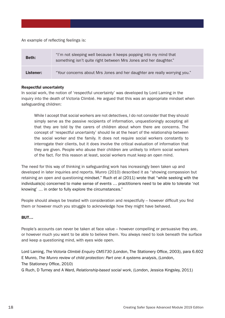An example of reflecting feelings is:

| <b>Beth:</b> | "I'm not sleeping well because it keeps popping into my mind that<br>something isn't quite right between Mrs Jones and her daughter." |
|--------------|---------------------------------------------------------------------------------------------------------------------------------------|
| Listener:    | "Your concerns about Mrs Jones and her daughter are really worrying you."                                                             |

# Respectful uncertainty

In social work, the notion of 'respectful uncertainty' was developed by Lord Laming in the inquiry into the death of Victoria Climbié. He argued that this was an appropriate mindset when safeguarding children:

While I accept that social workers are not detectives, I do not consider that they should simply serve as the passive recipients of information, unquestioningly accepting all that they are told by the carers of children about whom there are concerns. The concept of 'respectful uncertainty' should lie at the heart of the relationship between the social worker and the family. It does not require social workers constantly to interrogate their clients, but it does involve the critical evaluation of information that they are given. People who abuse their children are unlikely to inform social workers of the fact. For this reason at least, social workers must keep an open mind.

The need for this way of thinking in safeguarding work has increasingly been taken up and developed in later inquiries and reports. Munro (2010) described it as "showing compassion but retaining an open and questioning mindset." Ruch et al (2011) wrote that "while seeking with the individuals(s) concerned to make sense of events … practitioners need to be able to tolerate 'not knowing' … in order to fully explore the circumstances."

People should always be treated with consideration and respectfully – however difficult you find them or however much you struggle to acknowledge how they might have behaved.

# BUT…

People's accounts can never be taken at face value – however compelling or persuasive they are, or however much you want to be able to believe them. You always need to look beneath the surface and keep a questioning mind, with eyes wide open.

Lord Laming, *The Victoria Climbié Enquiry CM5730* (London, The Stationery Office, 2003), para 6.602 E Munro, *The Munro review of child protection: Part one: A systems analysis*, (London, The Stationery Office, 2010)

G Ruch, D Turney and A Ward, *Relationship-based social work*, (London, Jessica Kingsley, 2011)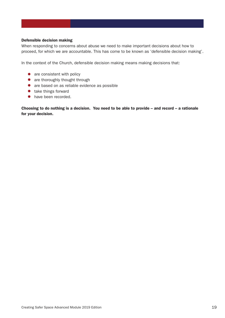# Defensible decision making

When responding to concerns about abuse we need to make important decisions about how to proceed, for which we are accountable. This has come to be known as 'defensible decision making'.

In the context of the Church, defensible decision making means making decisions that:

- $\bullet$  are consistent with policy
- are thoroughly thought through
- are based on as reliable evidence as possible
- take things forward
- have been recorded.

Choosing to do nothing is a decision. You need to be able to provide - and record - a rationale for your decision.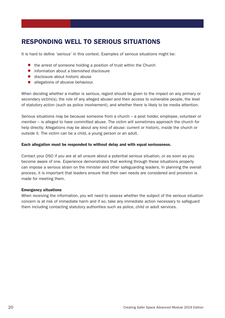# RESPONDING WELL TO SERIOUS SITUATIONS

It is hard to define 'serious' in this context. Examples of serious situations might be:

- the arrest of someone holding a position of trust within the Church
- information about a blemished disclosure
- disclosure about historic abuse
- allegations of abusive behaviour.

When deciding whether a matter is serious, regard should be given to the impact on any primary or secondary victim(s), the role of any alleged abuser and their access to vulnerable people, the level of statutory action (such as police involvement), and whether there is likely to be media attention.

Serious situations may be because someone from a church – a post holder, employee, volunteer or member – is alleged to have committed abuse. The victim will sometimes approach the church for help directly. Allegations may be about any kind of abuse: current or historic, inside the church or outside it. The victim can be a child, a young person or an adult.

# Each allegation must be responded to without delay and with equal seriousness.

Contact your DSO if you are at all unsure about a potential serious situation, or as soon as you become aware of one. Experience demonstrates that working through these situations properly can impose a serious strain on the minister and other safeguarding leaders. In planning the overall process, it is important that leaders ensure that their own needs are considered and provision is made for meeting them.

# Emergency situations

When receiving the information, you will need to assess whether the subject of the serious situation concern is at risk of immediate harm and if so, take any immediate action necessary to safeguard them including contacting statutory authorities such as police, child or adult services.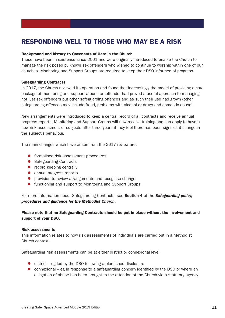# RESPONDING WELL TO THOSE WHO MAY BE A RISK

# Background and history to Covenants of Care in the Church

These have been in existence since 2001 and were originally introduced to enable the Church to manage the risk posed by known sex offenders who wished to continue to worship within one of our churches. Monitoring and Support Groups are required to keep their DSO informed of progress.

# Safeguarding Contracts

In 2017, the Church reviewed its operation and found that increasingly the model of providing a care package of monitoring and support around an offender had proved a useful approach to managing not just sex offenders but other safeguarding offences and as such their use had grown (other safeguarding offences may include fraud, problems with alcohol or drugs and domestic abuse).

New arrangements were introduced to keep a central record of all contracts and receive annual progress reports. Monitoring and Support Groups will now receive training and can apply to have a new risk assessment of subjects after three years if they feel there has been significant change in the subject's behaviour.

The main changes which have arisen from the 2017 review are:

- formalised risk assessment procedures
- Safeguarding Contracts
- record keeping centrally
- annual progress reports
- provision to review arrangements and recognise change
- functioning and support to Monitoring and Support Groups.

For more information about Safeguarding Contracts, see Section 4 of the *Safeguarding policy, procedures and guidance for the Methodist Church*.

Please note that no Safeguarding Contracts should be put in place without the involvement and support of your DSO.

# Risk assessments

This information relates to how risk assessments of individuals are carried out in a Methodist Church context.

Safeguarding risk assessments can be at either district or connexional level:

- $\bullet$  district eg led by the DSO following a blemished disclosure
- connexional eg in response to a safeguarding concern identified by the DSO or where an allegation of abuse has been brought to the attention of the Church via a statutory agency.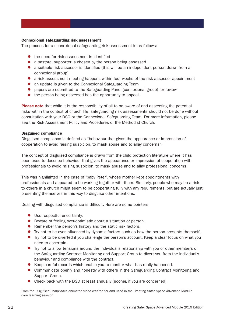# Connexional safeguarding risk assessment

The process for a connexional safeguarding risk assessment is as follows:

- the need for risk assessment is identified
- a pastoral supporter is chosen by the person being assessed
- a suitable risk assessor is identified (this will be an independent person drawn from a connexional group)
- a risk assessment meeting happens within four weeks of the risk assessor appointment
- an update is given to the Connexional Safeguarding Team
- papers are submitted to the Safeguarding Panel (connexional group) for review
- the person being assessed has the opportunity to appeal.

**Please note** that while it is the responsibility of all to be aware of and assessing the potential risks within the context of church life, safeguarding risk assessments should not be done without consultation with your DSO or the Connexional Safeguarding Team. For more information, please see the Risk Assessment Policy and Procedures of the Methodist Church.

# Disguised compliance

Disguised compliance is defined as "behaviour that gives the appearance or impression of cooperation to avoid raising suspicion, to mask abuse and to allay concerns".

The concept of disguised compliance is drawn from the child protection literature where it has been used to describe behaviour that gives the appearance or impression of cooperation with professionals to avoid raising suspicion, to mask abuse and to allay professional concerns.

This was highlighted in the case of 'baby Peter', whose mother kept appointments with professionals and appeared to be working together with them. Similarly, people who may be a risk to others in a church might seem to be cooperating fully with any requirements, but are actually just presenting themselves in this way to disguise other intentions.

Dealing with disguised compliance is difficult. Here are some pointers:

- Use respectful uncertainty.
- Beware of feeling over-optimistic about a situation or person.
- Remember the person's history and the static risk factors.
- Try not to be over-influenced by dynamic factors such as how the person presents themself.
- Try not to be diverted if you challenge the person's account. Keep a clear focus on what you need to ascertain.
- Try not to allow tensions around the individual's relationship with you or other members of the Safeguarding Contract Monitoring and Support Group to divert you from the individual's behaviour and compliance with the contract.
- Keep careful records which enable you to monitor what has really happened.
- Communicate openly and honestly with others in the Safeguarding Contract Monitoring and Support Group.
- Check back with the DSO at least annually (sooner, if you are concerned).

From the *Disguised Compliance* animated video created for and used in the Creating Safer Space Advanced Module core learning session.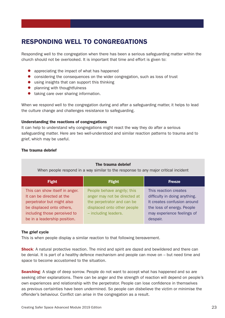# RESPONDING WELL TO CONGREGATIONS

Responding well to the congregation when there has been a serious safeguarding matter within the church should not be overlooked. It is important that time and effort is given to:

- appreciating the impact of what has happened
- considering the consequences on the wider congregation, such as loss of trust
- using insights that can support this thinking
- planning with thoughtfulness
- taking care over sharing information.

When we respond well to the congregation during and after a safeguarding matter, it helps to lead the culture change and challenges resistance to safeguarding.

# Understanding the reactions of congregations

It can help to understand why congregations might react the way they do after a serious safeguarding matter. Here are two well-understood and similar reaction patterns to trauma and to grief, which may be useful.

# The trauma debrief

| The trauma debrief<br>When people respond in a way similar to the response to any major critical incident                                                                              |                                                                                                                                                  |                                                                                                                                                               |  |  |
|----------------------------------------------------------------------------------------------------------------------------------------------------------------------------------------|--------------------------------------------------------------------------------------------------------------------------------------------------|---------------------------------------------------------------------------------------------------------------------------------------------------------------|--|--|
| <b>Fight</b>                                                                                                                                                                           | <b>Flight</b>                                                                                                                                    | <b>Freeze</b>                                                                                                                                                 |  |  |
| This can show itself in anger.<br>It can be directed at the<br>perpetrator but might also<br>be displaced onto others,<br>including those perceived to<br>be in a leadership position. | People behave angrily; this<br>anger may not be directed at<br>the perpetrator and can be<br>displaced onto other people<br>- including leaders. | This reaction creates<br>difficulty in doing anything.<br>It creates confusion around<br>the loss of energy. People<br>may experience feelings of<br>despair. |  |  |

# The grief cycle

This is when people display a similar reaction to that following bereavement.

**Shock:** A natural protective reaction. The mind and spirit are dazed and bewildered and there can be denial. It is part of a healthy defence mechanism and people can move on – but need time and space to become accustomed to the situation.

**Searching:** A stage of deep sorrow. People do not want to accept what has happened and so are seeking other explanations. There can be anger and the strength of reaction will depend on people's own experiences and relationship with the perpetrator. People can lose confidence in themselves as previous certainties have been undermined. So people can disbelieve the victim or minimise the offender's behaviour. Conflict can arise in the congregation as a result.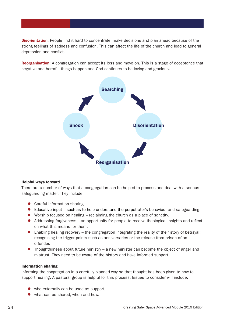**Disorientation**: People find it hard to concentrate, make decisions and plan ahead because of the strong feelings of sadness and confusion. This can affect the life of the church and lead to general depression and conflict.

**Reorganisation:** A congregation can accept its loss and move on. This is a stage of acceptance that negative and harmful things happen and God continues to be loving and gracious.



# Helpful ways forward

There are a number of ways that a congregation can be helped to process and deal with a serious safeguarding matter. They include:

- Careful information sharing.
- Educative input such as to help understand the perpetrator's behaviour and safeguarding.
- Worship focused on healing reclaiming the church as a place of sanctity.
- Addressing forgiveness an opportunity for people to receive theological insights and reflect on what this means for them.
- Enabling healing recovery the congregation integrating the reality of their story of betrayal; recognising the trigger points such as anniversaries or the release from prison of an offender.
- $\bullet$  Thoughtfulness about future ministry a new minister can become the object of anger and mistrust. They need to be aware of the history and have informed support.

# Information sharing

Informing the congregation in a carefully planned way so that thought has been given to how to support healing. A pastoral group is helpful for this process. Issues to consider will include:

- who externally can be used as support
- what can be shared, when and how.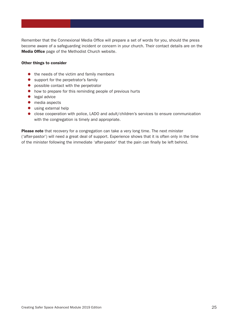Remember that the Connexional Media Office will prepare a set of words for you, should the press become aware of a safeguarding incident or concern in your church. Their contact details are on the Media Office page of the Methodist Church website.

# Other things to consider

- the needs of the victim and family members
- support for the perpetrator's family
- possible contact with the perpetrator
- how to prepare for this reminding people of previous hurts
- legal advice
- media aspects
- using external help
- close cooperation with police, LADO and adult/children's services to ensure communication with the congregation is timely and appropriate.

Please note that recovery for a congregation can take a very long time. The next minister ('after-pastor') will need a great deal of support. Experience shows that it is often only in the time of the minister following the immediate 'after-pastor' that the pain can finally be left behind.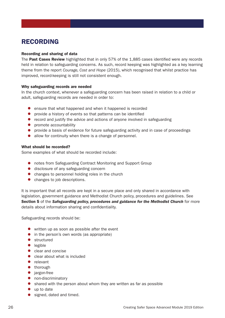# RECORDING

# Recording and sharing of data

The **Past Cases Review** highlighted that in only 57% of the 1,885 cases identified were any records held in relation to safeguarding concerns. As such, record keeping was highlighted as a key learning theme from the report *Courage, Cost and Hope* (2015), which recognised that whilst practice has improved, record-keeping is still not consistent enough.

# Why safeguarding records are needed

In the church context, whenever a safeguarding concern has been raised in relation to a child or adult, safeguarding records are needed in order to:

- ensure that what happened and when it happened is recorded
- provide a history of events so that patterns can be identified
- record and justify the advice and actions of anyone involved in safeguarding
- promote accountability
- provide a basis of evidence for future safeguarding activity and in case of proceedings
- allow for continuity when there is a change of personnel.

# What should be recorded?

Some examples of what should be recorded include:

- notes from Safeguarding Contract Monitoring and Support Group
- disclosure of any safeguarding concern
- changes to personnel holding roles in the church
- changes to job descriptions.

It is important that all records are kept in a secure place and only shared in accordance with legislation, government guidance and Methodist Church policy, procedures and guidelines. See Section 5 of the *Safeguarding policy, procedures and guidance for the Methodist Church* for more details about information sharing and confidentiality.

Safeguarding records should be:

- written up as soon as possible after the event
- in the person's own words (as appropriate)
- structured
- legible
- clear and concise
- clear about what is included
- relevant
- thorough
- jargon-free
- non-discriminatory
- shared with the person about whom they are written as far as possible
- up to date
- signed, dated and timed.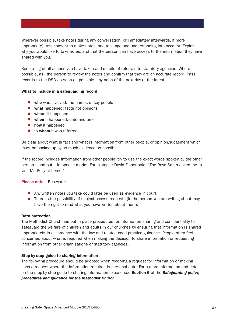Wherever possible, take notes during any conversation (or immediately afterwards, if more appropriate). Ask consent to make notes, and take age and understanding into account. Explain why you would like to take notes, and that the person can have access to the information they have shared with you.

Keep a log of all actions you have taken and details of referrals to statutory agencies. Where possible, ask the person to review the notes and confirm that they are an accurate record. Pass records to the DSO as soon as possible – by noon of the next day at the latest.

# What to include in a safeguarding record

- who was involved: the names of key people
- what happened: facts not opinions
- where it happened
- when it happened: date and time
- how it happened
- to whom it was referred.

Be clear about what is fact and what is information from other people, or opinion/judgement which must be backed up by as much evidence as possible.

If the record includes information from other people, try to use the exact words spoken by the other person – and put it in speech marks. For example: David Fisher said, "The Revd Smith asked me to visit Ms Kelly at home."

# Please note – Be aware:

- Any written notes you take could later be used as evidence in court.
- There is the possibility of subject access requests (ie the person you are writing about may have the right to read what you have written about them).

# Data protection

The Methodist Church has put in place procedures for information sharing and confidentiality to safeguard the welfare of children and adults in our churches by ensuring that information is shared appropriately, in accordance with the law and related good practice guidance. People often feel concerned about what is required when making the decision to share information or requesting information from other organisations or statutory agencies.

# Step-by-step guide to sharing information

The following procedure should be adopted when receiving a request for information or making such a request where the information required is personal data. For a more information and detail on the step-by-step guide to sharing information, please see Section 5 of the *Safeguarding policy, procedures and guidance for the Methodist Church*.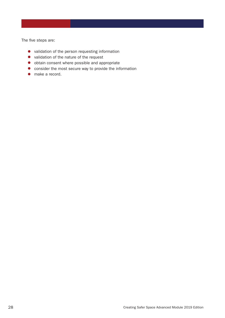The five steps are:

- validation of the person requesting information
- validation of the nature of the request
- obtain consent where possible and appropriate
- consider the most secure way to provide the information
- make a record.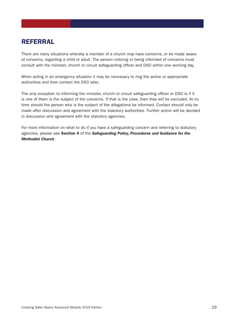# REFERRAL

There are many situations whereby a member of a church may have concerns, or be made aware of concerns, regarding a child or adult. The person noticing or being informed of concerns must consult with the minister, church or circuit safeguarding officer and DSO within one working day.

When acting in an emergency situation it may be necessary to ring the police or appropriate authorities and then contact the DSO later.

The only exception to informing the minister, church or circuit safeguarding officer or DSO is if it is one of them is the subject of the concerns. If that is the case, then they will be excluded. At no time should the person who is the subject of the allegations be informed. Contact should only be made after discussion and agreement with the statutory authorities. Further action will be decided in discussion and agreement with the statutory agencies.

For more information on what to do if you have a safeguarding concern and referring to statutory agencies, please see Section 4 of the *Safeguarding Policy, Procedures and Guidance for the Methodist Church*.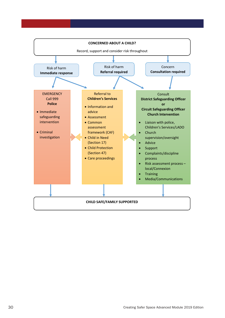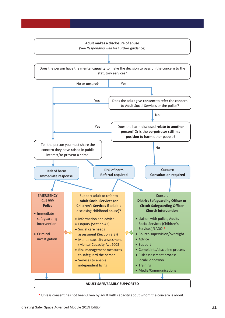

\* Unless consent has not been given by adult with capacity about whom the concern is about.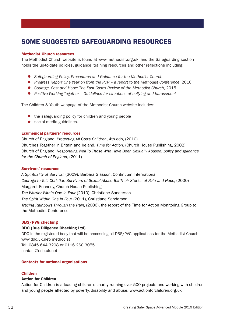# SOME SUGGESTED SAFEGUARDING RESOURCES

# Methodist Church resources

The Methodist Church website is found at www.methodist.org.uk, and the Safeguarding section holds the up-to-date policies, guidance, training resources and other reflections including:

- *Safeguarding Policy, Procedures and Guidance for the Methodist Church*
- *Progress Report One Year on from the PCR a report to the Methodist Conference*, 2016
- *Courage, Cost and Hope: The Past Cases Review of the Methodist Church*, 2015
- Positive Working Together Guidelines for situations of bullying and harassment

The Children & Youth webpage of the Methodist Church website includes:

- the safeguarding policy for children and young people
- social media guidelines.

### Ecumenical partners' resources

Church of England, *Protecting All God's Children*, 4th edn, (2010) Churches Together in Britain and Ireland, *Time for Action,* (Church House Publishing, 2002) Church of England, *Responding Well To Those Who Have Been Sexually Abused: policy and guidance for the Church of England,* (2011)

### Survivors' resources

*A Spirituality of Survival,* (2009), Barbara Glasson, Continuum International *Courage to Tell: Christian Survivors of Sexual Abuse Tell Their Stories of Pain and Hope,* (2000) Margaret Kennedy, Church House Publishing *The Warrior Within One in Four* (2010), Christiane Sanderson *The Spirit Within One in Four* (2011), Christiane Sanderson *Tracing Rainbows Through the Rain,* (2006), the report of the Time for Action Monitoring Group to the Methodist Conference

### DBS/PVG checking

### DDC (Due Diligence Checking Ltd)

DDC is the registered body that will be processing all DBS/PVG applications for the Methodist Church. www.ddc.uk.net/methodist Tel: 0845 644 3298 or 0116 260 3055 contact@ddc.uk.net

# Contacts for national organisations

### Children

### Action for Children

Action for Children is a leading children's charity running over 500 projects and working with children and young people affected by poverty, disability and abuse. www.actionforchildren.org.uk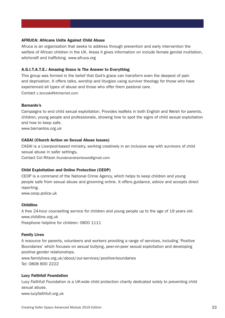# AFRUCA: Africans Unite Against Child Abuse

Afruca is an organisation that seeks to address through prevention and early intervention the welfare of African children in the UK. Areas it gives information on include female genital mutilation, witchcraft and trafficking. www.afruca.org

# A.G.I.T.A.T.E.: Amazing Grace is The Answer to Everything

This group was formed in the belief that God's grace can transform even the deepest of pain and deprivation. It offers talks, worship and liturgies using survivor theology for those who have experienced all types of abuse and those who offer them pastoral care. Contact c.lerczak@btinternet.com

# Barnardo's

Campaigns to end child sexual exploitation. Provides leaflets in both English and Welsh for parents, children, young people and professionals, showing how to spot the signs of child sexual exploitation and how to keep safe.

www.barnardos.org.uk

### CASAI (Church Action on Sexual Abuse Issues)

CASAI is a Liverpool-based ministry, working creatively in an inclusive way with survivors of child sexual abuse in safer settings.

Contact Col Ritson thunderandrainbows@gmail.com

### Child Exploitation and Online Protection (CEOP)

CEOP is a command of the National Crime Agency, which helps to keep children and young people safe from sexual abuse and grooming online. It offers guidance, advice and accepts direct reporting.

www.ceop.police.uk

# Childline

A free 24-hour counselling service for children and young people up to the age of 19 years old. www.childline.org.uk

Freephone helpline for children: 0800 1111

### Family Lives

A resource for parents, volunteers and workers providing a range of services, including 'Positive Boundaries' which focuses on sexual bullying, peer-on-peer sexual exploitation and developing positive gender relationships.

www.familylives.org.uk/about/our-services/positive-boundaries Tel: 0808 800 2222

### Lucy Faithfull Foundation

Lucy Faithfull Foundation is a UK-wide child protection charity dedicated solely to preventing child sexual abuse.

www.lucyfaithfull.org.uk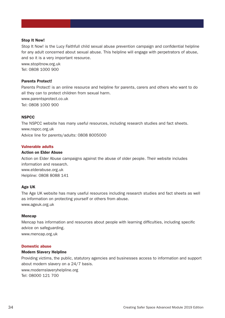# Stop It Now!

Stop It Now! is the Lucy Faithfull child sexual abuse prevention campaign and confidential helpline for any adult concerned about sexual abuse. This helpline will engage with perpetrators of abuse, and so it is a very important resource.

www.stopitnow.org.uk Tel: 0808 1000 900

# Parents Protect!

Parents Protect! is an online resource and helpline for parents, carers and others who want to do all they can to protect children from sexual harm. www.parentsprotect.co.uk Tel: 0808 1000 900

# **NSPCC**

The NSPCC website has many useful resources, including research studies and fact sheets. www.nspcc.org.uk Advice line for parents/adults: 0808 8005000

# Vulnerable adults

# Action on Elder Abuse

Action on Elder Abuse campaigns against the abuse of older people. Their website includes information and research. www.elderabuse.org.uk Helpline: 0808 8088 141

# Age UK

The Age UK website has many useful resources including research studies and fact sheets as well as information on protecting yourself or others from abuse. www.ageuk.org.uk

# Mencap

Mencap has information and resources about people with learning difficulties, including specific advice on safeguarding. www.mencap.org.uk

# Domestic abuse

# Modern Slavery Helpline

Providing victims, the public, statutory agencies and businesses access to information and support about modern slavery on a 24/7 basis. www.modernslaveryhelpline.org Tel: 08000 121 700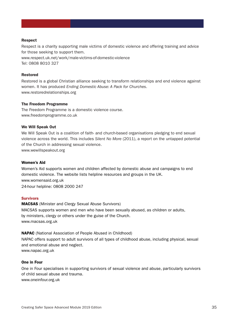# Respect

Respect is a charity supporting male victims of domestic violence and offering training and advice for those seeking to support them. www.respect.uk.net/work/male-victims-of-domestic-violence Tel: 0808 8010 327

# Restored

Restored is a global Christian alliance seeking to transform relationships and end violence against women. It has produced *Ending Domestic Abuse: A Pack for Churches*. www.restoredrelationships.org

### The Freedom Programme

The Freedom Programme is a domestic violence course. www.freedomprogramme.co.uk

### We Will Speak Out

We Will Speak Out is a coalition of faith- and church-based organisations pledging to end sexual violence across the world. This includes *Silent No More* (2011), a report on the untapped potential of the Church in addressing sexual violence. www.wewillspeakout.org

### Women's Aid

Women's Aid supports women and children affected by domestic abuse and campaigns to end domestic violence. The website lists helpline resources and groups in the UK. www.womensaid.org.uk 24-hour helpline: 0808 2000 247

### **Survivors**

MACSAS (Minister and Clergy Sexual Abuse Survivors) MACSAS supports women and men who have been sexually abused, as children or adults, by ministers, clergy or others under the guise of the Church. www.macsas.org.uk

NAPAC (National Association of People Abused in Childhood)

NAPAC offers support to adult survivors of all types of childhood abuse, including physical, sexual and emotional abuse and neglect. www.napac.org.uk

# One in Four

One in Four specialises in supporting survivors of sexual violence and abuse, particularly survivors of child sexual abuse and trauma. www.oneinfour.org.uk